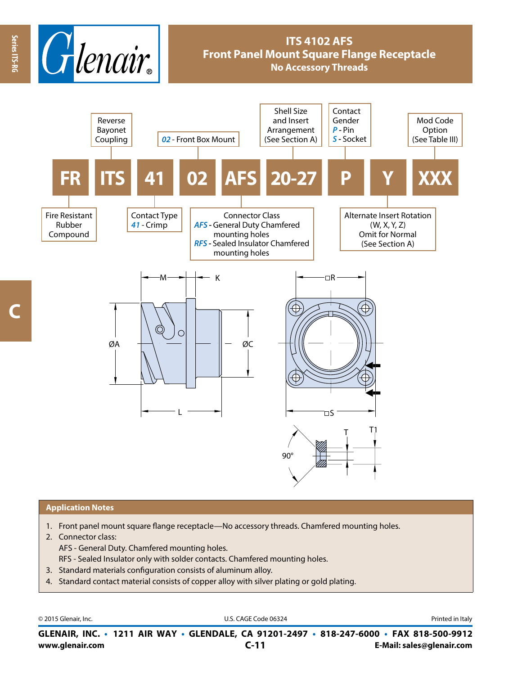

## **Application Notes**

- 1. Front panel mount square flange receptacle—No accessory threads. Chamfered mounting holes.
- 2. Connector class:
	- AFS General Duty. Chamfered mounting holes.
	- RFS Sealed Insulator only with solder contacts. Chamfered mounting holes.
- 3. Standard materials configuration consists of aluminum alloy.
- 4. Standard contact material consists of copper alloy with silver plating or gold plating.

© 2015 Glenair, Inc. **Discription Construction Construction Construction Construction Construction Construction Construction Construction Construction Construction Construction Construction Construction Construction Constr** 

**www.glenair.com E-Mail: sales@glenair.com GLENAIR, INC. • 1211 AIR WAY • GLENDALE, CA 91201-2497 • 818-247-6000 • FAX 818-500-9912 C-11**